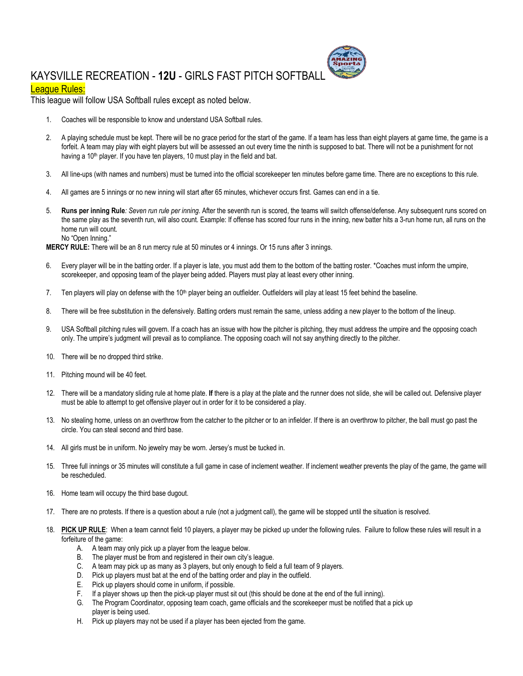## KAYSVILLE RECREATION - **12U** - GIRLS FAST PITCH SOFTBALL

## League Rules:

This league will follow USA Softball rules except as noted below.

- 1. Coaches will be responsible to know and understand USA Softball rules.
- 2. A playing schedule must be kept. There will be no grace period for the start of the game. If a team has less than eight players at game time, the game is a forfeit. A team may play with eight players but will be assessed an out every time the ninth is supposed to bat. There will not be a punishment for not having a 10<sup>th</sup> player. If you have ten players, 10 must play in the field and bat.
- 3. All line-ups (with names and numbers) must be turned into the official scorekeeper ten minutes before game time. There are no exceptions to this rule.
- 4. All games are 5 innings or no new inning will start after 65 minutes, whichever occurs first. Games can end in a tie.
- 5. **Runs per inning Rule***: Seven run rule per inning*. After the seventh run is scored, the teams will switch offense/defense. Any subsequent runs scored on the same play as the seventh run, will also count. Example: If offense has scored four runs in the inning, new batter hits a 3-run home run, all runs on the home run will count. No "Open Inning."

**MERCY RULE:** There will be an 8 run mercy rule at 50 minutes or 4 innings. Or 15 runs after 3 innings.

- 6. Every player will be in the batting order. If a player is late, you must add them to the bottom of the batting roster. \*Coaches must inform the umpire, scorekeeper, and opposing team of the player being added. Players must play at least every other inning.
- 7. Ten players will play on defense with the 10<sup>th</sup> player being an outfielder. Outfielders will play at least 15 feet behind the baseline.
- 8. There will be free substitution in the defensively. Batting orders must remain the same, unless adding a new player to the bottom of the lineup.
- 9. USA Softball pitching rules will govern. If a coach has an issue with how the pitcher is pitching, they must address the umpire and the opposing coach only. The umpire's judgment will prevail as to compliance. The opposing coach will not say anything directly to the pitcher.
- 10. There will be no dropped third strike.
- 11. Pitching mound will be 40 feet.
- 12. There will be a mandatory sliding rule at home plate. **If** there is a play at the plate and the runner does not slide, she will be called out. Defensive player must be able to attempt to get offensive player out in order for it to be considered a play.
- 13. No stealing home, unless on an overthrow from the catcher to the pitcher or to an infielder. If there is an overthrow to pitcher, the ball must go past the circle. You can steal second and third base.
- 14. All girls must be in uniform. No jewelry may be worn. Jersey's must be tucked in.
- 15. Three full innings or 35 minutes will constitute a full game in case of inclement weather. If inclement weather prevents the play of the game, the game will be rescheduled.
- 16. Home team will occupy the third base dugout.
- 17. There are no protests. If there is a question about a rule (not a judgment call), the game will be stopped until the situation is resolved.
- 18. PICK UP RULE: When a team cannot field 10 players, a player may be picked up under the following rules. Failure to follow these rules will result in a forfeiture of the game:
	- A. A team may only pick up a player from the league below.
	- B. The player must be from and registered in their own city's league.
	- C. A team may pick up as many as 3 players, but only enough to field a full team of 9 players.
	- D. Pick up players must bat at the end of the batting order and play in the outfield.
	- E. Pick up players should come in uniform, if possible.
	- F. If a player shows up then the pick-up player must sit out (this should be done at the end of the full inning).
	- G. The Program Coordinator, opposing team coach, game officials and the scorekeeper must be notified that a pick up player is being used.
	- H. Pick up players may not be used if a player has been ejected from the game.